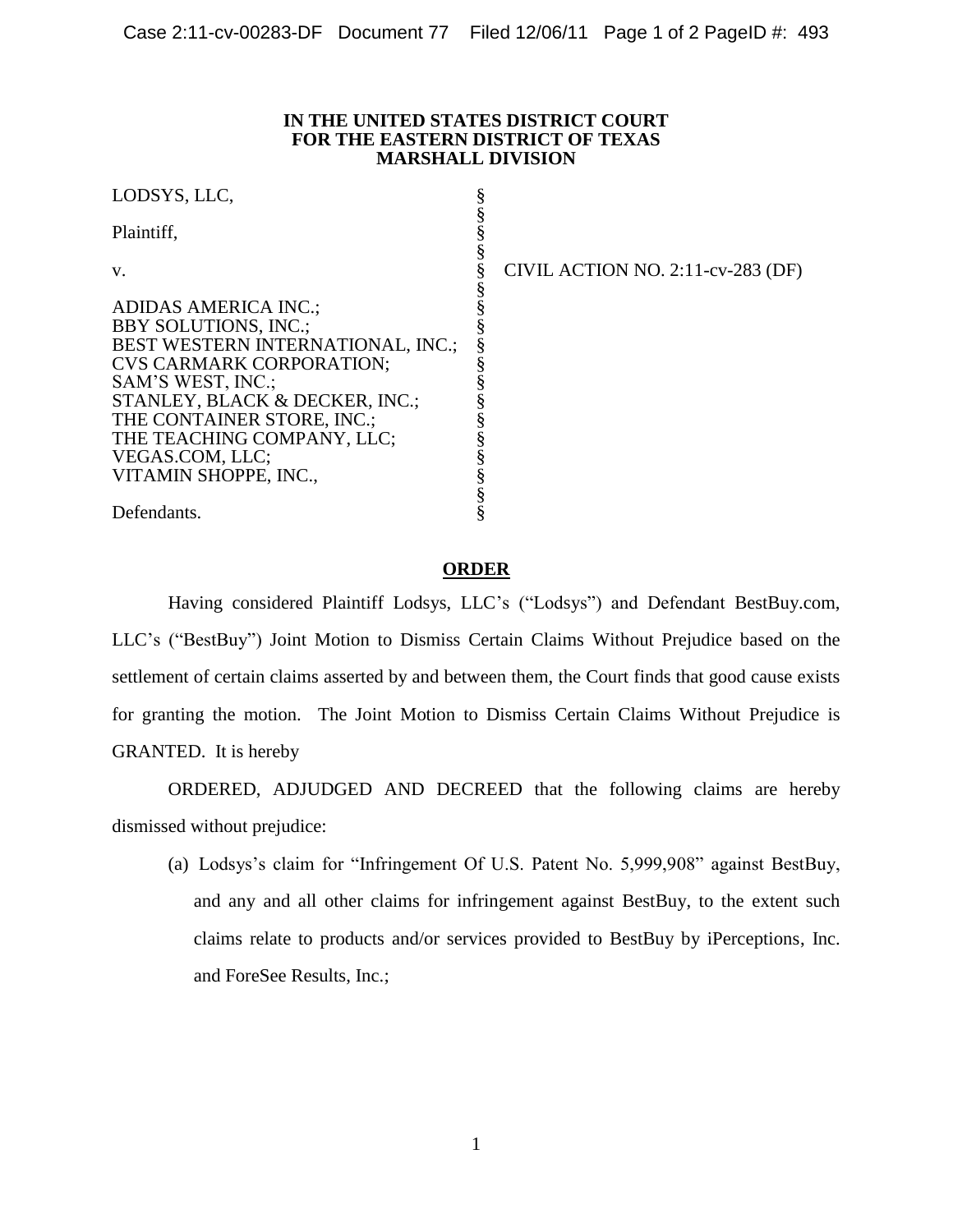## **IN THE UNITED STATES DISTRICT COURT FOR THE EASTERN DISTRICT OF TEXAS MARSHALL DIVISION**

| LODSYS, LLC,                             |                                   |
|------------------------------------------|-----------------------------------|
| Plaintiff,                               |                                   |
| V.                                       | CIVIL ACTION NO. 2:11-cv-283 (DF) |
|                                          |                                   |
| <b>ADIDAS AMERICA INC.;</b>              |                                   |
| <b>BBY SOLUTIONS, INC.;</b>              |                                   |
| <b>BEST WESTERN INTERNATIONAL, INC.;</b> |                                   |
| <b>CVS CARMARK CORPORATION:</b>          |                                   |
| SAM'S WEST, INC.;                        |                                   |
| STANLEY, BLACK & DECKER, INC.;           |                                   |
| THE CONTAINER STORE, INC.;               |                                   |
| THE TEACHING COMPANY, LLC;               |                                   |
| VEGAS.COM, LLC;                          |                                   |
| VITAMIN SHOPPE, INC.,                    |                                   |
|                                          |                                   |
| Defendants.                              |                                   |

## **ORDER**

Having considered Plaintiff Lodsys, LLC's ("Lodsys") and Defendant BestBuy.com, LLC's ("BestBuy") Joint Motion to Dismiss Certain Claims Without Prejudice based on the settlement of certain claims asserted by and between them, the Court finds that good cause exists for granting the motion. The Joint Motion to Dismiss Certain Claims Without Prejudice is GRANTED. It is hereby

 ORDERED, ADJUDGED AND DECREED that the following claims are hereby dismissed without prejudice:

 (a) Lodsys's claim for "Infringement Of U.S. Patent No. 5,999,908" against BestBuy, and any and all other claims for infringement against BestBuy, to the extent such claims relate to products and/or services provided to BestBuy by iPerceptions, Inc. and ForeSee Results, Inc.;